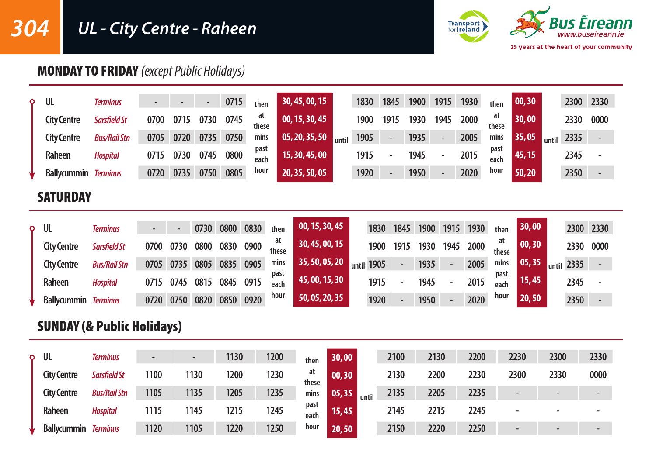

## MONDAY TO FRIDAY *(except Public Holidays)*

| ۰ | UL                 | <b>Terminus</b>     | $\blacksquare$ |      |      | 0715 | then         | 30, 45, 00, 15 |       | 1830 | 1845                     | 1900 | 1915 | 1930 | then         | 00, 30 | 2300 2330 |      |
|---|--------------------|---------------------|----------------|------|------|------|--------------|----------------|-------|------|--------------------------|------|------|------|--------------|--------|-----------|------|
|   | <b>City Centre</b> | Sarsfield St        | 0700           | 0715 | 0730 | 0745 | at<br>these  | 00, 15, 30, 45 |       | 1900 | 1915                     | 1930 | 1945 | 2000 | at<br>these  | 30,00  | 2330      | 0000 |
|   | <b>City Centre</b> | <b>Bus/Rail Stn</b> | 0705           | 0720 | 0735 | 0750 | mins         | 05, 20, 35, 50 | until | 1905 | $\overline{\phantom{a}}$ | 1935 |      | 2005 | mins         | 35,05  | 2335      |      |
|   | Raheen             | <b>Hospital</b>     | 0715           | 0730 | 0745 | 0800 | past<br>each | 15, 30, 45, 00 |       | 1915 |                          | 1945 |      | 2015 | past<br>each | 45, 15 | 2345      |      |
|   | <b>Ballycummin</b> | <b>Terminus</b>     | 0720           | 0735 | 0750 | 0805 | hour         | 20, 35, 50, 05 |       | 1920 |                          | 1950 |      | 2020 | hour         | 50.20  | 2350      |      |

### **SATURDAY**

| Ο | UL                          | <b>Terminus</b>     |      |      | 0730 | 0800 | 0830 | then         | 00, 15, 30, 45 | 1830       | 1845 | 1900 | 1915 | 1930 | then         | 30,00            | 2300 | 2330 |
|---|-----------------------------|---------------------|------|------|------|------|------|--------------|----------------|------------|------|------|------|------|--------------|------------------|------|------|
|   | <b>City Centre</b>          | Sarsfield St        | 0700 | 0730 | 0800 | 0830 | 0900 | at<br>these  | 30, 45, 00, 15 | 1900       | 1915 | 1930 | 1945 | 2000 | at<br>these  | 00, 30           | 2330 | 0000 |
|   | <b>City Centre</b>          | <b>Bus/Rail Stn</b> | 0705 | 0735 | 0805 | 0835 | 0905 | mins         | 35, 50, 05, 20 | until 1905 |      | 1935 |      | 2005 | mins         | $\boxed{05, 35}$ | 2335 |      |
|   | Raheen                      | <b>Hospital</b>     | 0715 | 0745 | 0815 | 0845 | 0915 | past<br>each | 45, 00, 15, 30 | 1915       |      | 1945 |      | 2015 | past<br>each | 15,45            | 2345 |      |
|   | <b>Ballycummin</b> Terminus |                     | 0720 | 0750 | 0820 | 0850 | 0920 | hour         | 50, 05, 20, 35 | 1920       |      | 1950 |      | 2020 | hour         | 20,50            | 2350 |      |

## SUNDAY (& Public Holidays)

| ۰ | UL                          | Terminus            |      | $\overline{\phantom{a}}$ | 1130 | 1200 | then         | 30,00           | 2100 | 2130 | 2200 | 2230 | 2300                     | 2330                     |
|---|-----------------------------|---------------------|------|--------------------------|------|------|--------------|-----------------|------|------|------|------|--------------------------|--------------------------|
|   | <b>City Centre</b>          | Sarsfield St        | 1100 | 1130                     | 1200 | 1230 | at<br>these  | 00, 30          | 2130 | 2200 | 2230 | 2300 | 2330                     | 0000                     |
|   | <b>City Centre</b>          | <b>Bus/Rail Stn</b> | 1105 | 1135                     | 1205 | 1235 | mins         | 05, 35<br>until | 2135 | 2205 | 2235 | -    | $\overline{\phantom{0}}$ | $\overline{\phantom{0}}$ |
|   | Raheen                      | <b>Hospital</b>     | 1115 | 1145                     | 1215 | 1245 | past<br>each | 15,45           | 2145 | 2215 | 2245 |      | $\overline{\phantom{a}}$ | $\overline{\phantom{a}}$ |
|   | <b>Ballycummin</b> Terminus |                     | 1120 | 1105                     | 1220 | 1250 | hour         | 20, 50          | 2150 | 2220 | 2250 |      | $\overline{\phantom{0}}$ | $\overline{\phantom{0}}$ |